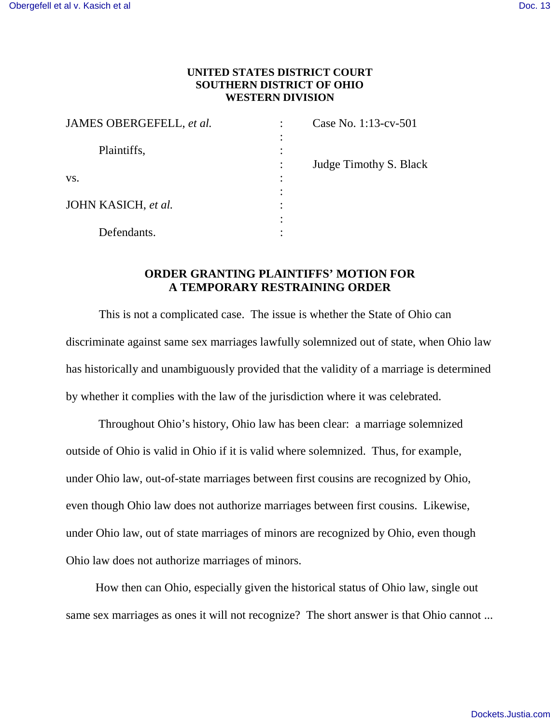## **UNITED STATES DISTRICT COURT SOUTHERN DISTRICT OF OHIO WESTERN DIVISION**

| JAMES OBERGEFELL, et al. |        | Case No. 1:13-cv-501   |
|--------------------------|--------|------------------------|
| Plaintiffs,              | ٠<br>٠ |                        |
|                          |        |                        |
|                          |        | Judge Timothy S. Black |
| VS.                      | ٠      |                        |
|                          | ٠      |                        |
| JOHN KASICH, et al.      |        |                        |
|                          | ٠      |                        |
| Defendants.              |        |                        |

# **ORDER GRANTING PLAINTIFFS' MOTION FOR A TEMPORARY RESTRAINING ORDER**

 This is not a complicated case. The issue is whether the State of Ohio can discriminate against same sex marriages lawfully solemnized out of state, when Ohio law has historically and unambiguously provided that the validity of a marriage is determined by whether it complies with the law of the jurisdiction where it was celebrated.

 Throughout Ohio's history, Ohio law has been clear: a marriage solemnized outside of Ohio is valid in Ohio if it is valid where solemnized. Thus, for example, under Ohio law, out-of-state marriages between first cousins are recognized by Ohio, even though Ohio law does not authorize marriages between first cousins. Likewise, under Ohio law, out of state marriages of minors are recognized by Ohio, even though Ohio law does not authorize marriages of minors.

 How then can Ohio, especially given the historical status of Ohio law, single out same sex marriages as ones it will not recognize? The short answer is that Ohio cannot ...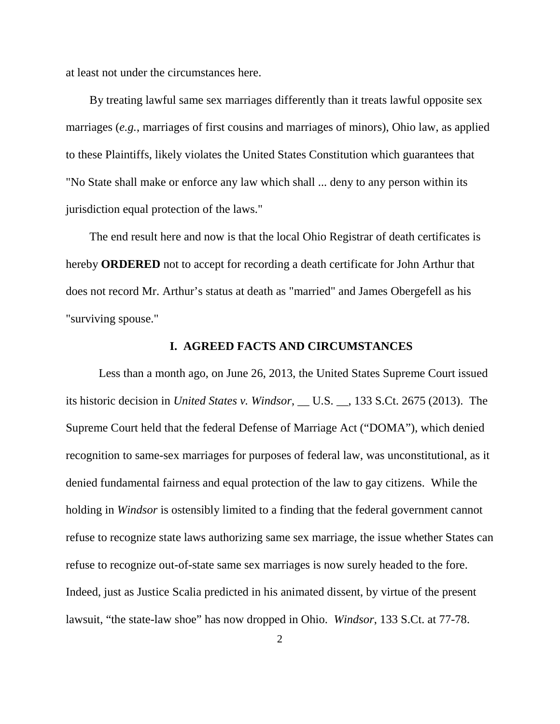at least not under the circumstances here.

 By treating lawful same sex marriages differently than it treats lawful opposite sex marriages (*e.g.*, marriages of first cousins and marriages of minors), Ohio law, as applied to these Plaintiffs, likely violates the United States Constitution which guarantees that "No State shall make or enforce any law which shall ... deny to any person within its jurisdiction equal protection of the laws."

 The end result here and now is that the local Ohio Registrar of death certificates is hereby **ORDERED** not to accept for recording a death certificate for John Arthur that does not record Mr. Arthur's status at death as "married" and James Obergefell as his "surviving spouse."

### **I. AGREED FACTS AND CIRCUMSTANCES**

 Less than a month ago, on June 26, 2013, the United States Supreme Court issued its historic decision in *United States v. Windsor*, \_\_ U.S. \_\_, 133 S.Ct. 2675 (2013). The Supreme Court held that the federal Defense of Marriage Act ("DOMA"), which denied recognition to same-sex marriages for purposes of federal law, was unconstitutional, as it denied fundamental fairness and equal protection of the law to gay citizens. While the holding in *Windsor* is ostensibly limited to a finding that the federal government cannot refuse to recognize state laws authorizing same sex marriage, the issue whether States can refuse to recognize out-of-state same sex marriages is now surely headed to the fore. Indeed, just as Justice Scalia predicted in his animated dissent, by virtue of the present lawsuit, "the state-law shoe" has now dropped in Ohio. *Windsor*, 133 S.Ct. at 77-78.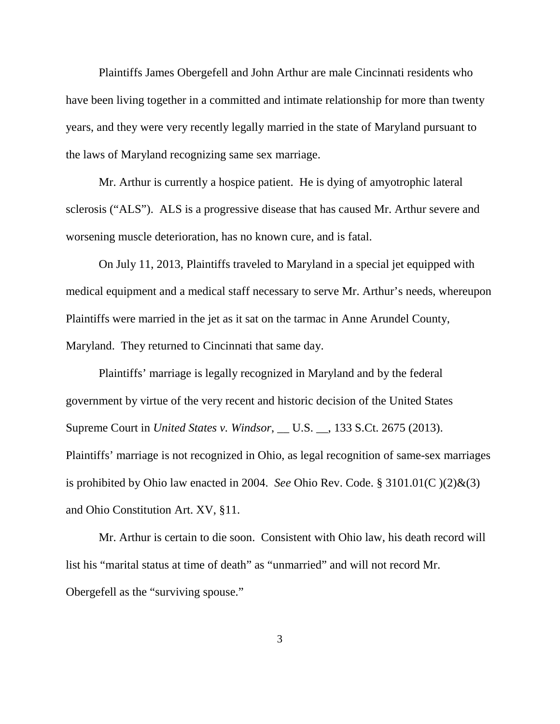Plaintiffs James Obergefell and John Arthur are male Cincinnati residents who have been living together in a committed and intimate relationship for more than twenty years, and they were very recently legally married in the state of Maryland pursuant to the laws of Maryland recognizing same sex marriage.

Mr. Arthur is currently a hospice patient. He is dying of amyotrophic lateral sclerosis ("ALS"). ALS is a progressive disease that has caused Mr. Arthur severe and worsening muscle deterioration, has no known cure, and is fatal.

On July 11, 2013, Plaintiffs traveled to Maryland in a special jet equipped with medical equipment and a medical staff necessary to serve Mr. Arthur's needs, whereupon Plaintiffs were married in the jet as it sat on the tarmac in Anne Arundel County, Maryland. They returned to Cincinnati that same day.

Plaintiffs' marriage is legally recognized in Maryland and by the federal government by virtue of the very recent and historic decision of the United States Supreme Court in *United States v. Windsor*, \_\_ U.S. \_\_, 133 S.Ct. 2675 (2013). Plaintiffs' marriage is not recognized in Ohio, as legal recognition of same-sex marriages is prohibited by Ohio law enacted in 2004. *See* Ohio Rev. Code. § 3101.01(C )(2)&(3) and Ohio Constitution Art. XV, §11.

Mr. Arthur is certain to die soon. Consistent with Ohio law, his death record will list his "marital status at time of death" as "unmarried" and will not record Mr. Obergefell as the "surviving spouse."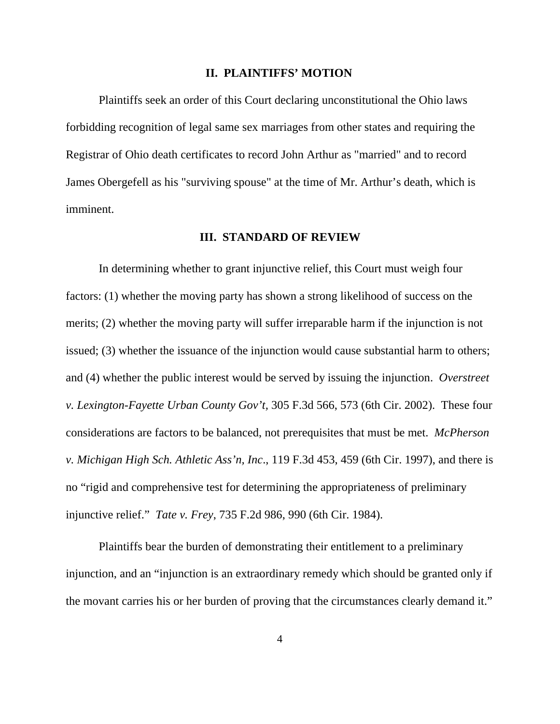#### **II. PLAINTIFFS' MOTION**

Plaintiffs seek an order of this Court declaring unconstitutional the Ohio laws forbidding recognition of legal same sex marriages from other states and requiring the Registrar of Ohio death certificates to record John Arthur as "married" and to record James Obergefell as his "surviving spouse" at the time of Mr. Arthur's death, which is imminent.

## **III. STANDARD OF REVIEW**

 In determining whether to grant injunctive relief, this Court must weigh four factors: (1) whether the moving party has shown a strong likelihood of success on the merits; (2) whether the moving party will suffer irreparable harm if the injunction is not issued; (3) whether the issuance of the injunction would cause substantial harm to others; and (4) whether the public interest would be served by issuing the injunction. *Overstreet v. Lexington-Fayette Urban County Gov't,* 305 F.3d 566, 573 (6th Cir. 2002). These four considerations are factors to be balanced, not prerequisites that must be met. *McPherson v. Michigan High Sch. Athletic Ass'n, Inc*., 119 F.3d 453, 459 (6th Cir. 1997), and there is no "rigid and comprehensive test for determining the appropriateness of preliminary injunctive relief." *Tate v. Frey*, 735 F.2d 986, 990 (6th Cir. 1984).

Plaintiffs bear the burden of demonstrating their entitlement to a preliminary injunction, and an "injunction is an extraordinary remedy which should be granted only if the movant carries his or her burden of proving that the circumstances clearly demand it."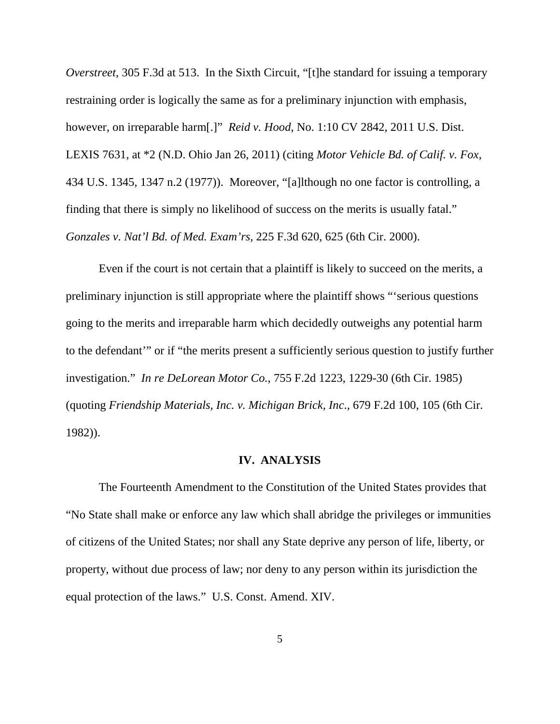*Overstreet,* 305 F.3d at 513. In the Sixth Circuit, "[t]he standard for issuing a temporary restraining order is logically the same as for a preliminary injunction with emphasis, however, on irreparable harm[.]" *Reid v. Hood*, No. 1:10 CV 2842, 2011 U.S. Dist. LEXIS 7631, at \*2 (N.D. Ohio Jan 26, 2011) (citing *Motor Vehicle Bd. of Calif. v. Fox*, 434 U.S. 1345, 1347 n.2 (1977)). Moreover, "[a]lthough no one factor is controlling, a finding that there is simply no likelihood of success on the merits is usually fatal." *Gonzales v. Nat'l Bd. of Med. Exam'rs,* 225 F.3d 620, 625 (6th Cir. 2000).

Even if the court is not certain that a plaintiff is likely to succeed on the merits, a preliminary injunction is still appropriate where the plaintiff shows "'serious questions going to the merits and irreparable harm which decidedly outweighs any potential harm to the defendant'" or if "the merits present a sufficiently serious question to justify further investigation." *In re DeLorean Motor Co.*, 755 F.2d 1223, 1229-30 (6th Cir. 1985) (quoting *Friendship Materials, Inc. v. Michigan Brick, Inc*., 679 F.2d 100, 105 (6th Cir. 1982)).

### **IV. ANALYSIS**

The Fourteenth Amendment to the Constitution of the United States provides that "No State shall make or enforce any law which shall abridge the privileges or immunities of citizens of the United States; nor shall any State deprive any person of life, liberty, or property, without due process of law; nor deny to any person within its jurisdiction the equal protection of the laws." U.S. Const. Amend. XIV.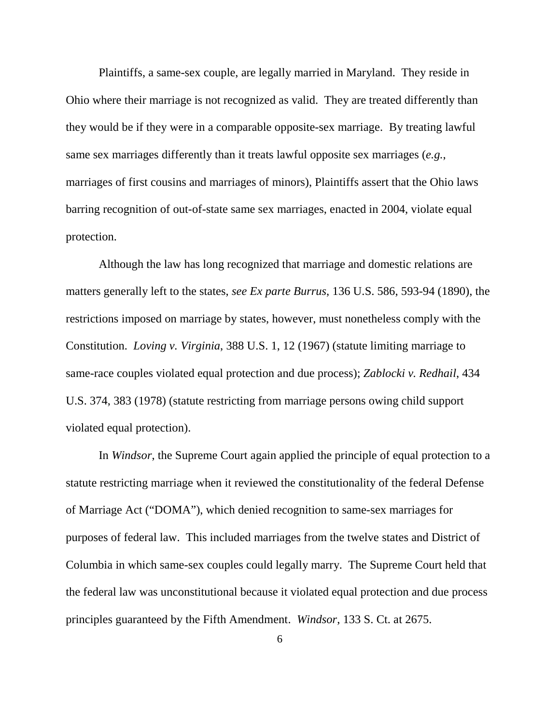Plaintiffs, a same-sex couple, are legally married in Maryland. They reside in Ohio where their marriage is not recognized as valid. They are treated differently than they would be if they were in a comparable opposite-sex marriage. By treating lawful same sex marriages differently than it treats lawful opposite sex marriages (*e.g.*, marriages of first cousins and marriages of minors), Plaintiffs assert that the Ohio laws barring recognition of out-of-state same sex marriages, enacted in 2004, violate equal protection.

Although the law has long recognized that marriage and domestic relations are matters generally left to the states, *see Ex parte Burrus*, 136 U.S. 586, 593-94 (1890), the restrictions imposed on marriage by states, however, must nonetheless comply with the Constitution. *Loving v. Virginia*, 388 U.S. 1, 12 (1967) (statute limiting marriage to same-race couples violated equal protection and due process); *Zablocki v. Redhail*, 434 U.S. 374, 383 (1978) (statute restricting from marriage persons owing child support violated equal protection).

In *Windsor*, the Supreme Court again applied the principle of equal protection to a statute restricting marriage when it reviewed the constitutionality of the federal Defense of Marriage Act ("DOMA"), which denied recognition to same-sex marriages for purposes of federal law. This included marriages from the twelve states and District of Columbia in which same-sex couples could legally marry. The Supreme Court held that the federal law was unconstitutional because it violated equal protection and due process principles guaranteed by the Fifth Amendment. *Windsor*, 133 S. Ct. at 2675.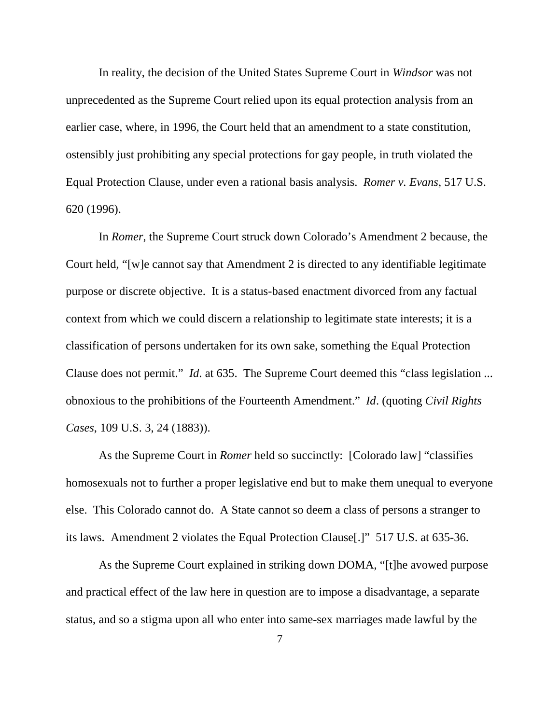In reality, the decision of the United States Supreme Court in *Windsor* was not unprecedented as the Supreme Court relied upon its equal protection analysis from an earlier case, where, in 1996, the Court held that an amendment to a state constitution, ostensibly just prohibiting any special protections for gay people, in truth violated the Equal Protection Clause, under even a rational basis analysis. *Romer v. Evans*, 517 U.S. 620 (1996).

In *Romer*, the Supreme Court struck down Colorado's Amendment 2 because, the Court held, "[w]e cannot say that Amendment 2 is directed to any identifiable legitimate purpose or discrete objective. It is a status-based enactment divorced from any factual context from which we could discern a relationship to legitimate state interests; it is a classification of persons undertaken for its own sake, something the Equal Protection Clause does not permit." *Id*. at 635. The Supreme Court deemed this "class legislation ... obnoxious to the prohibitions of the Fourteenth Amendment." *Id*. (quoting *Civil Rights Cases*, 109 U.S. 3, 24 (1883)).

As the Supreme Court in *Romer* held so succinctly: [Colorado law] "classifies homosexuals not to further a proper legislative end but to make them unequal to everyone else. This Colorado cannot do. A State cannot so deem a class of persons a stranger to its laws. Amendment 2 violates the Equal Protection Clause[.]" 517 U.S. at 635-36.

As the Supreme Court explained in striking down DOMA, "[t]he avowed purpose and practical effect of the law here in question are to impose a disadvantage, a separate status, and so a stigma upon all who enter into same-sex marriages made lawful by the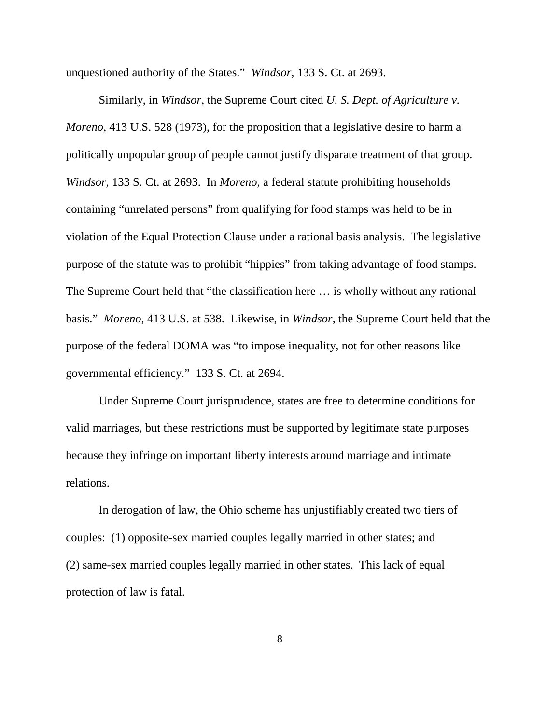unquestioned authority of the States." *Windsor*, 133 S. Ct. at 2693.

Similarly, in *Windsor*, the Supreme Court cited *U. S. Dept. of Agriculture v. Moreno*, 413 U.S. 528 (1973), for the proposition that a legislative desire to harm a politically unpopular group of people cannot justify disparate treatment of that group. *Windsor*, 133 S. Ct. at 2693. In *Moreno*, a federal statute prohibiting households containing "unrelated persons" from qualifying for food stamps was held to be in violation of the Equal Protection Clause under a rational basis analysis. The legislative purpose of the statute was to prohibit "hippies" from taking advantage of food stamps. The Supreme Court held that "the classification here … is wholly without any rational basis." *Moreno*, 413 U.S. at 538. Likewise, in *Windsor*, the Supreme Court held that the purpose of the federal DOMA was "to impose inequality, not for other reasons like governmental efficiency." 133 S. Ct. at 2694.

 Under Supreme Court jurisprudence, states are free to determine conditions for valid marriages, but these restrictions must be supported by legitimate state purposes because they infringe on important liberty interests around marriage and intimate relations.

In derogation of law, the Ohio scheme has unjustifiably created two tiers of couples: (1) opposite-sex married couples legally married in other states; and (2) same-sex married couples legally married in other states. This lack of equal protection of law is fatal.

8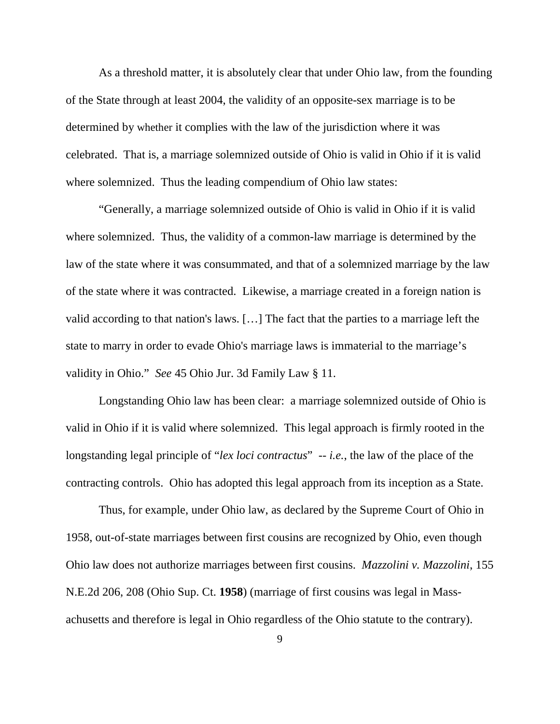As a threshold matter, it is absolutely clear that under Ohio law, from the founding of the State through at least 2004, the validity of an opposite-sex marriage is to be determined by whether it complies with the law of the jurisdiction where it was celebrated. That is, a marriage solemnized outside of Ohio is valid in Ohio if it is valid where solemnized. Thus the leading compendium of Ohio law states:

"Generally, a marriage solemnized outside of Ohio is valid in Ohio if it is valid where solemnized. Thus, the validity of a common-law marriage is determined by the law of the state where it was consummated, and that of a solemnized marriage by the law of the state where it was contracted. Likewise, a marriage created in a foreign nation is valid according to that nation's laws. […] The fact that the parties to a marriage left the state to marry in order to evade Ohio's marriage laws is immaterial to the marriage's validity in Ohio." *See* 45 Ohio Jur. 3d Family Law § 11.

 Longstanding Ohio law has been clear: a marriage solemnized outside of Ohio is valid in Ohio if it is valid where solemnized. This legal approach is firmly rooted in the longstanding legal principle of "*lex loci contractus*" -- *i.e.*, the law of the place of the contracting controls. Ohio has adopted this legal approach from its inception as a State.

Thus, for example, under Ohio law, as declared by the Supreme Court of Ohio in 1958, out-of-state marriages between first cousins are recognized by Ohio, even though Ohio law does not authorize marriages between first cousins. *Mazzolini v. Mazzolini*, 155 N.E.2d 206, 208 (Ohio Sup. Ct. **1958**) (marriage of first cousins was legal in Massachusetts and therefore is legal in Ohio regardless of the Ohio statute to the contrary).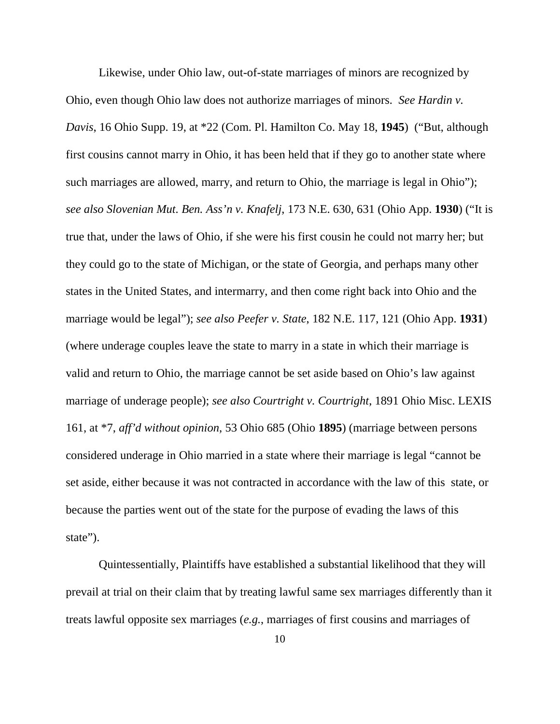Likewise, under Ohio law, out-of-state marriages of minors are recognized by Ohio, even though Ohio law does not authorize marriages of minors. *See Hardin v. Davis*, 16 Ohio Supp. 19, at \*22 (Com. Pl. Hamilton Co. May 18, **1945**) ("But, although first cousins cannot marry in Ohio, it has been held that if they go to another state where such marriages are allowed, marry, and return to Ohio, the marriage is legal in Ohio"); *see also Slovenian Mut. Ben. Ass'n v. Knafelj*, 173 N.E. 630, 631 (Ohio App. **1930**) ("It is true that, under the laws of Ohio, if she were his first cousin he could not marry her; but they could go to the state of Michigan, or the state of Georgia, and perhaps many other states in the United States, and intermarry, and then come right back into Ohio and the marriage would be legal"); *see also Peefer v. State*, 182 N.E. 117, 121 (Ohio App. **1931**) (where underage couples leave the state to marry in a state in which their marriage is valid and return to Ohio, the marriage cannot be set aside based on Ohio's law against marriage of underage people); *see also Courtright v. Courtright*, 1891 Ohio Misc. LEXIS 161, at \*7, *aff'd without opinion*, 53 Ohio 685 (Ohio **1895**) (marriage between persons considered underage in Ohio married in a state where their marriage is legal "cannot be set aside, either because it was not contracted in accordance with the law of this state, or because the parties went out of the state for the purpose of evading the laws of this state").

Quintessentially, Plaintiffs have established a substantial likelihood that they will prevail at trial on their claim that by treating lawful same sex marriages differently than it treats lawful opposite sex marriages (*e.g.*, marriages of first cousins and marriages of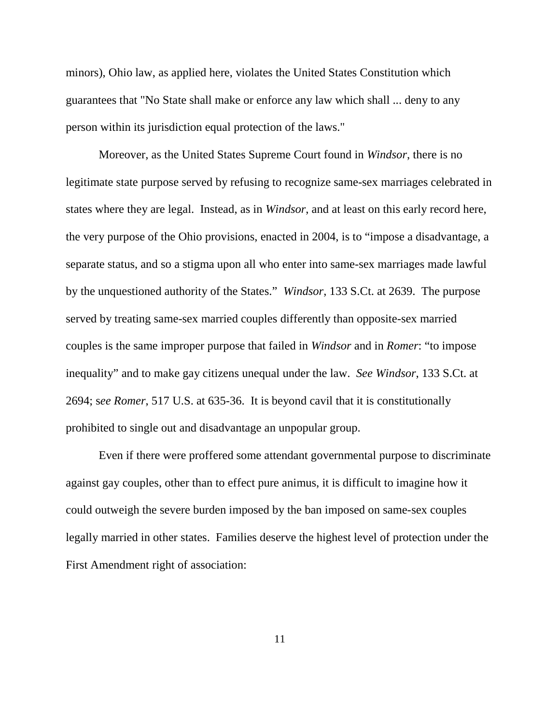minors), Ohio law, as applied here, violates the United States Constitution which guarantees that "No State shall make or enforce any law which shall ... deny to any person within its jurisdiction equal protection of the laws."

 Moreover, as the United States Supreme Court found in *Windsor*, there is no legitimate state purpose served by refusing to recognize same-sex marriages celebrated in states where they are legal. Instead, as in *Windsor*, and at least on this early record here, the very purpose of the Ohio provisions, enacted in 2004, is to "impose a disadvantage, a separate status, and so a stigma upon all who enter into same-sex marriages made lawful by the unquestioned authority of the States." *Windsor*, 133 S.Ct. at 2639. The purpose served by treating same-sex married couples differently than opposite-sex married couples is the same improper purpose that failed in *Windsor* and in *Romer*: "to impose inequality" and to make gay citizens unequal under the law. *See Windsor*, 133 S.Ct. at 2694; s*ee Romer*, 517 U.S. at 635-36. It is beyond cavil that it is constitutionally prohibited to single out and disadvantage an unpopular group.

 Even if there were proffered some attendant governmental purpose to discriminate against gay couples, other than to effect pure animus, it is difficult to imagine how it could outweigh the severe burden imposed by the ban imposed on same-sex couples legally married in other states. Families deserve the highest level of protection under the First Amendment right of association: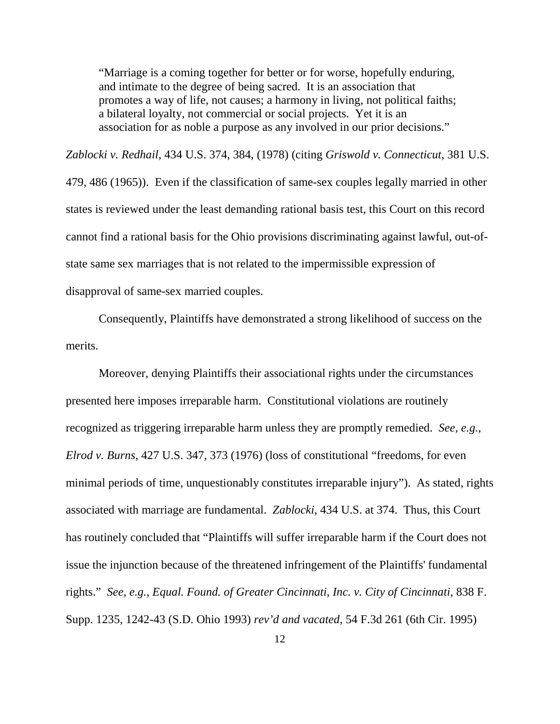"Marriage is a coming together for better or for worse, hopefully enduring, and intimate to the degree of being sacred. It is an association that promotes a way of life, not causes; a harmony in living, not political faiths; a bilateral loyalty, not commercial or social projects. Yet it is an association for as noble a purpose as any involved in our prior decisions."

*Zablocki v. Redhail*, 434 U.S. 374, 384, (1978) (citing *Griswold v. Connecticut*, 381 U.S. 479, 486 (1965)). Even if the classification of same-sex couples legally married in other states is reviewed under the least demanding rational basis test, this Court on this record cannot find a rational basis for the Ohio provisions discriminating against lawful, out-ofstate same sex marriages that is not related to the impermissible expression of disapproval of same-sex married couples.

 Consequently, Plaintiffs have demonstrated a strong likelihood of success on the merits.

Moreover, denying Plaintiffs their associational rights under the circumstances presented here imposes irreparable harm. Constitutional violations are routinely recognized as triggering irreparable harm unless they are promptly remedied. *See, e.g., Elrod v. Burns*, 427 U.S. 347, 373 (1976) (loss of constitutional "freedoms, for even minimal periods of time, unquestionably constitutes irreparable injury"). As stated, rights associated with marriage are fundamental. *Zablocki*, 434 U.S. at 374. Thus, this Court has routinely concluded that "Plaintiffs will suffer irreparable harm if the Court does not issue the injunction because of the threatened infringement of the Plaintiffs' fundamental rights." *See, e.g.*, *Equal. Found. of Greater Cincinnati, Inc. v. City of Cincinnati*, 838 F. Supp. 1235, 1242-43 (S.D. Ohio 1993) *rev'd and vacated*, 54 F.3d 261 (6th Cir. 1995)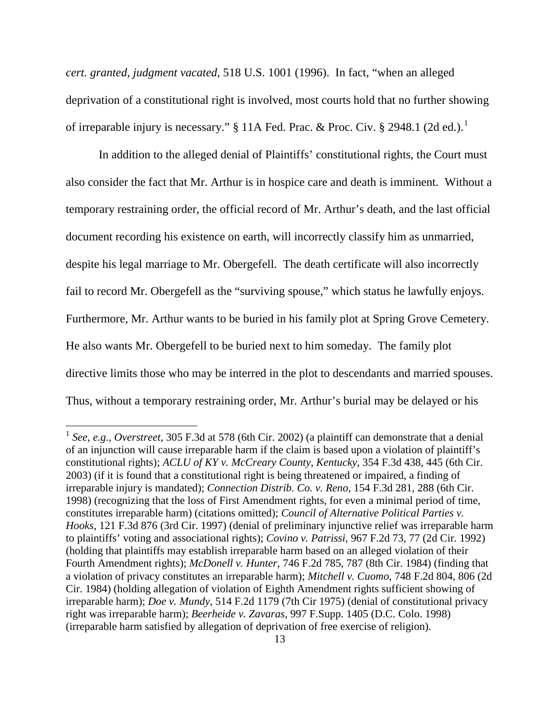*cert. granted*, *judgment vacated*, 518 U.S. 1001 (1996). In fact, "when an alleged deprivation of a constitutional right is involved, most courts hold that no further showing of irreparable injury is necessary." § [1](#page-12-0)1A Fed. Prac. & Proc. Civ. § 2948.1 (2d ed.).<sup>1</sup>

In addition to the alleged denial of Plaintiffs' constitutional rights, the Court must also consider the fact that Mr. Arthur is in hospice care and death is imminent. Without a temporary restraining order, the official record of Mr. Arthur's death, and the last official document recording his existence on earth, will incorrectly classify him as unmarried, despite his legal marriage to Mr. Obergefell. The death certificate will also incorrectly fail to record Mr. Obergefell as the "surviving spouse," which status he lawfully enjoys. Furthermore, Mr. Arthur wants to be buried in his family plot at Spring Grove Cemetery. He also wants Mr. Obergefell to be buried next to him someday. The family plot directive limits those who may be interred in the plot to descendants and married spouses. Thus, without a temporary restraining order, Mr. Arthur's burial may be delayed or his

 $\overline{a}$ 

<span id="page-12-0"></span><sup>&</sup>lt;sup>1</sup> See, e.g., Overstreet, 305 F.3d at 578 (6th Cir. 2002) (a plaintiff can demonstrate that a denial of an injunction will cause irreparable harm if the claim is based upon a violation of plaintiff's constitutional rights); *ACLU of KY v. McCreary County, Kentucky*, 354 F.3d 438, 445 (6th Cir. 2003) (if it is found that a constitutional right is being threatened or impaired, a finding of irreparable injury is mandated); *Connection Distrib. Co. v. Reno*, 154 F.3d 281, 288 (6th Cir. 1998) (recognizing that the loss of First Amendment rights, for even a minimal period of time, constitutes irreparable harm) (citations omitted); *Council of Alternative Political Parties v. Hooks*, 121 F.3d 876 (3rd Cir. 1997) (denial of preliminary injunctive relief was irreparable harm to plaintiffs' voting and associational rights); *Covino v. Patrissi*, 967 F.2d 73, 77 (2d Cir. 1992) (holding that plaintiffs may establish irreparable harm based on an alleged violation of their Fourth Amendment rights); *McDonell v. Hunter*, 746 F.2d 785, 787 (8th Cir. 1984) (finding that a violation of privacy constitutes an irreparable harm); *Mitchell v. Cuomo*, 748 F.2d 804, 806 (2d Cir. 1984) (holding allegation of violation of Eighth Amendment rights sufficient showing of irreparable harm); *Doe v. Mundy*, 514 F.2d 1179 (7th Cir 1975) (denial of constitutional privacy right was irreparable harm); *Beerheide v. Zavaras*, 997 F.Supp. 1405 (D.C. Colo. 1998) (irreparable harm satisfied by allegation of deprivation of free exercise of religion).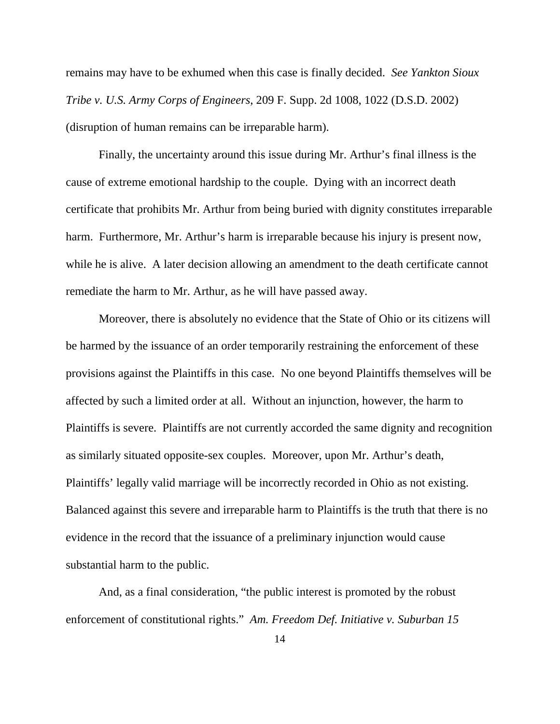remains may have to be exhumed when this case is finally decided. *See Yankton Sioux Tribe v. U.S. Army Corps of Engineers*, 209 F. Supp. 2d 1008, 1022 (D.S.D. 2002) (disruption of human remains can be irreparable harm).

Finally, the uncertainty around this issue during Mr. Arthur's final illness is the cause of extreme emotional hardship to the couple. Dying with an incorrect death certificate that prohibits Mr. Arthur from being buried with dignity constitutes irreparable harm. Furthermore, Mr. Arthur's harm is irreparable because his injury is present now, while he is alive. A later decision allowing an amendment to the death certificate cannot remediate the harm to Mr. Arthur, as he will have passed away.

 Moreover, there is absolutely no evidence that the State of Ohio or its citizens will be harmed by the issuance of an order temporarily restraining the enforcement of these provisions against the Plaintiffs in this case. No one beyond Plaintiffs themselves will be affected by such a limited order at all. Without an injunction, however, the harm to Plaintiffs is severe. Plaintiffs are not currently accorded the same dignity and recognition as similarly situated opposite-sex couples. Moreover, upon Mr. Arthur's death, Plaintiffs' legally valid marriage will be incorrectly recorded in Ohio as not existing. Balanced against this severe and irreparable harm to Plaintiffs is the truth that there is no evidence in the record that the issuance of a preliminary injunction would cause substantial harm to the public.

And, as a final consideration, "the public interest is promoted by the robust enforcement of constitutional rights." *Am. Freedom Def. Initiative v. Suburban 15*